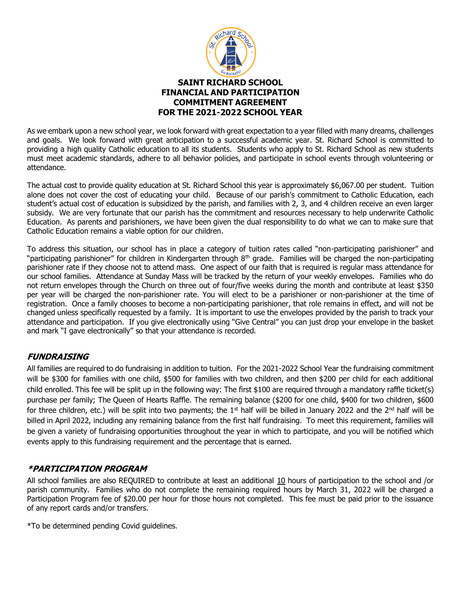

As we embark upon a new school year, we look forward with great expectation to a year filled with many dreams, challenges and goals. We look forward with great anticipation to a successful academic year. St. Richard School is committed to providing a high quality Catholic education to all its students. Students who apply to St. Richard School as new students must meet academic standards, adhere to all behavior policies, and participate in school events through volunteering or attendance.

The actual cost to provide quality education at St. Richard School this year is approximately \$6,067.00 per student. Tuition alone does not cover the cost of educating your child. Because of our parish's commitment to Catholic Education, each student's actual cost of education is subsidized by the parish, and families with 2, 3, and 4 children receive an even larger subsidy. We are very fortunate that our parish has the commitment and resources necessary to help underwrite Catholic Education. As parents and parishioners, we have been given the dual responsibility to do what we can to make sure that Catholic Education remains a viable option for our children.

To address this situation, our school has in place a category of tuition rates called "non-participating parishioner" and "participating parishioner" for children in Kindergarten through 8<sup>th</sup> grade. Families will be charged the non-participating parishioner rate if they choose not to attend mass. One aspect of our faith that is required is regular mass attendance for our school families. Attendance at Sunday Mass will be tracked by the return of your weekly envelopes. Families who do not return envelopes through the Church on three out of four/five weeks during the month and contribute at least \$350 per year will be charged the non-parishioner rate. You will elect to be a parishioner or non-parishioner at the time of registration. Once a family chooses to become a non-participating parishioner, that role remains in effect, and will not be changed unless specifically requested by a family. It is important to use the envelopes provided by the parish to track your attendance and participation. If you give electronically using "Give Central" you can just drop your envelope in the basket and mark "I gave electronically" so that your attendance is recorded.

### **FUNDRAISING**

All families are required to do fundraising in addition to tuition. For the 2021-2022 School Year the fundraising commitment will be \$300 for families with one child, \$500 for families with two children, and then \$200 per child for each additional child enrolled. This fee will be split up in the following way: The first \$100 are required through a mandatory raffle ticket(s) purchase per family; The Queen of Hearts Raffle. The remaining balance (\$200 for one child, \$400 for two children, \$600 for three children, etc.) will be split into two payments; the  $1<sup>st</sup>$  half will be billed in January 2022 and the  $2<sup>nd</sup>$  half will be billed in April 2022, including any remaining balance from the first half fundraising. To meet this requirement, families will be given a variety of fundraising opportunities throughout the year in which to participate, and you will be notified which events apply to this fundraising requirement and the percentage that is earned.

### **\*PARTICIPATION PROGRAM**

All school families are also REQUIRED to contribute at least an additional 10 hours of participation to the school and /or parish community. Families who do not complete the remaining required hours by March 31, 2022 will be charged a Participation Program fee of \$20.00 per hour for those hours not completed. This fee must be paid prior to the issuance of any report cards and/or transfers.

\*To be determined pending Covid guidelines.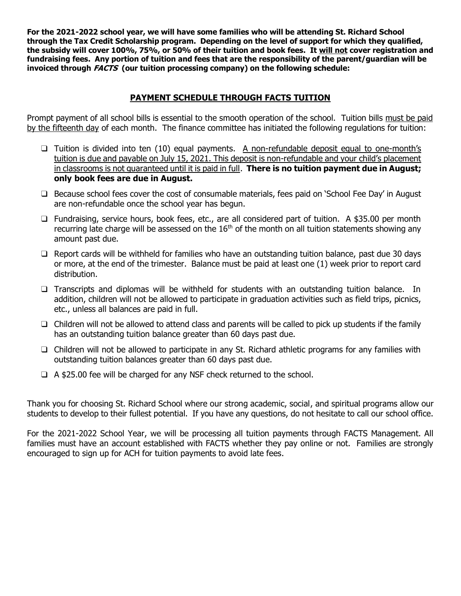**For the 2021-2022 school year, we will have some families who will be attending St. Richard School through the Tax Credit Scholarship program. Depending on the level of support for which they qualified, the subsidy will cover 100%, 75%, or 50% of their tuition and book fees. It will not cover registration and fundraising fees. Any portion of tuition and fees that are the responsibility of the parent/guardian will be invoiced through FACTS (our tuition processing company) on the following schedule:**

## **PAYMENT SCHEDULE THROUGH FACTS TUITION**

Prompt payment of all school bills is essential to the smooth operation of the school. Tuition bills must be paid by the fifteenth day of each month. The finance committee has initiated the following regulations for tuition:

- ❑ Tuition is divided into ten (10) equal payments. A non-refundable deposit equal to one-month's tuition is due and payable on July 15, 2021. This deposit is non-refundable and your child's placement in classrooms is not guaranteed until it is paid in full. **There is no tuition payment due in August; only book fees are due in August.**
- ❑ Because school fees cover the cost of consumable materials, fees paid on 'School Fee Day' in August are non-refundable once the school year has begun.
- ❑ Fundraising, service hours, book fees, etc., are all considered part of tuition. A \$35.00 per month recurring late charge will be assessed on the  $16<sup>th</sup>$  of the month on all tuition statements showing any amount past due.
- ❑ Report cards will be withheld for families who have an outstanding tuition balance, past due 30 days or more, at the end of the trimester. Balance must be paid at least one (1) week prior to report card distribution.
- ❑ Transcripts and diplomas will be withheld for students with an outstanding tuition balance. In addition, children will not be allowed to participate in graduation activities such as field trips, picnics, etc., unless all balances are paid in full.
- ❑ Children will not be allowed to attend class and parents will be called to pick up students if the family has an outstanding tuition balance greater than 60 days past due.
- ❑ Children will not be allowed to participate in any St. Richard athletic programs for any families with outstanding tuition balances greater than 60 days past due.
- ❑ A \$25.00 fee will be charged for any NSF check returned to the school.

Thank you for choosing St. Richard School where our strong academic, social, and spiritual programs allow our students to develop to their fullest potential. If you have any questions, do not hesitate to call our school office.

For the 2021-2022 School Year, we will be processing all tuition payments through FACTS Management. All families must have an account established with FACTS whether they pay online or not. Families are strongly encouraged to sign up for ACH for tuition payments to avoid late fees.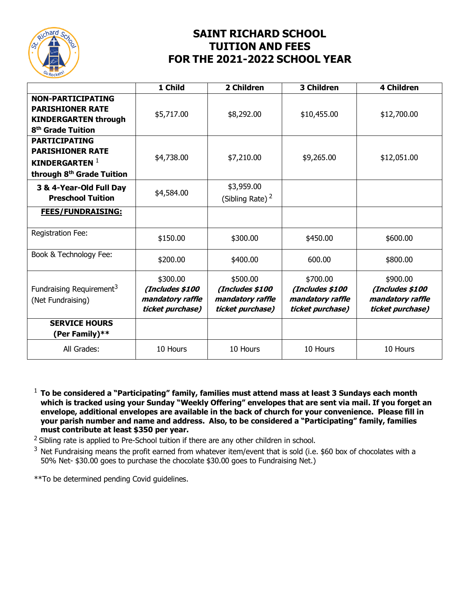

# **SAINT RICHARD SCHOOL TUITION AND FEES FOR THE 2021-2022 SCHOOL YEAR**

|                                                                                                                     | 1 Child                                                             | 2 Children                                                          | <b>3 Children</b>                                                   | <b>4 Children</b>                                                   |
|---------------------------------------------------------------------------------------------------------------------|---------------------------------------------------------------------|---------------------------------------------------------------------|---------------------------------------------------------------------|---------------------------------------------------------------------|
| <b>NON-PARTICIPATING</b><br><b>PARISHIONER RATE</b><br><b>KINDERGARTEN through</b><br>8 <sup>th</sup> Grade Tuition | \$5,717.00                                                          | \$8,292.00                                                          | \$10,455.00                                                         | \$12,700.00                                                         |
| <b>PARTICIPATING</b><br><b>PARISHIONER RATE</b><br>KINDERGARTEN $1$<br>through 8 <sup>th</sup> Grade Tuition        | \$4,738.00                                                          | \$7,210.00                                                          | \$9,265.00                                                          | \$12,051.00                                                         |
| 3 & 4-Year-Old Full Day<br><b>Preschool Tuition</b>                                                                 | \$4,584.00                                                          | \$3,959.00<br>(Sibling Rate) $2$                                    |                                                                     |                                                                     |
| <b>FEES/FUNDRAISING:</b>                                                                                            |                                                                     |                                                                     |                                                                     |                                                                     |
| Registration Fee:                                                                                                   | \$150.00                                                            | \$300.00                                                            | \$450.00                                                            | \$600.00                                                            |
| Book & Technology Fee:                                                                                              | \$200.00                                                            | \$400.00                                                            | 600.00                                                              | \$800.00                                                            |
| Fundraising Requirement <sup>3</sup><br>(Net Fundraising)                                                           | \$300.00<br>(Includes \$100<br>mandatory raffle<br>ticket purchase) | \$500.00<br>(Includes \$100<br>mandatory raffle<br>ticket purchase) | \$700.00<br>(Includes \$100<br>mandatory raffle<br>ticket purchase) | \$900.00<br>(Includes \$100<br>mandatory raffle<br>ticket purchase) |
| <b>SERVICE HOURS</b><br>(Per Family)**                                                                              |                                                                     |                                                                     |                                                                     |                                                                     |
| All Grades:                                                                                                         | 10 Hours                                                            | 10 Hours                                                            | 10 Hours                                                            | 10 Hours                                                            |

<sup>1</sup> **To be considered a "Participating" family, families must attend mass at least 3 Sundays each month which is tracked using your Sunday "Weekly Offering" envelopes that are sent via mail. If you forget an envelope, additional envelopes are available in the back of church for your convenience. Please fill in your parish number and name and address. Also, to be considered a "Participating" family, families must contribute at least \$350 per year.**

<sup>2</sup> Sibling rate is applied to Pre-School tuition if there are any other children in school.

 $3$  Net Fundraising means the profit earned from whatever item/event that is sold (i.e. \$60 box of chocolates with a 50% Net- \$30.00 goes to purchase the chocolate \$30.00 goes to Fundraising Net.)

\*\*To be determined pending Covid guidelines.